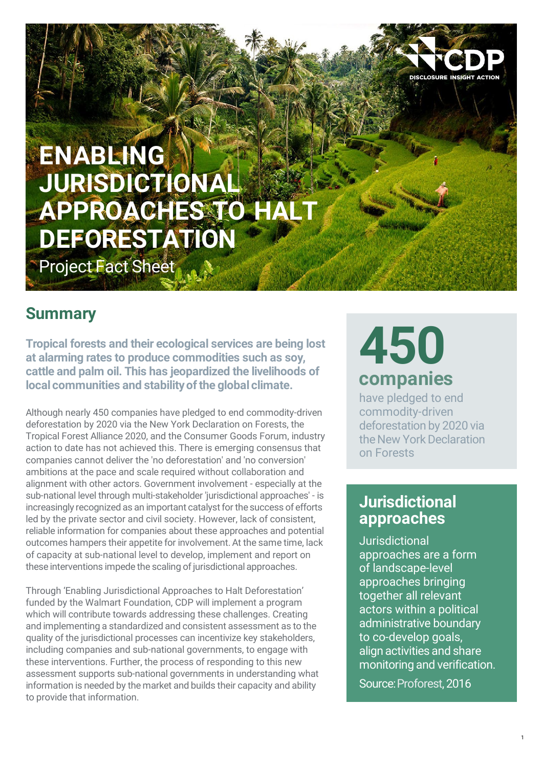

## **ENABLING JURISDICTIONAL APPROACHES TO HALT DEFORESTATION**

Project Fact Sheet

## **Summary**

**Tropical forests and their ecological services are being lost at alarming rates to produce commodities such as soy, cattle and palm oil. This has jeopardized the livelihoods of localcommunities and stabilityofthe global climate.**

Although nearly 450 companies have pledged to end commodity-driven deforestation by 2020 via the New York Declaration on Forests, the Tropical Forest Alliance 2020, and the Consumer Goods Forum, industry action to date has not achieved this. There is emerging consensus that companies cannot deliver the 'no deforestation' and 'no conversion' ambitions at the pace and scale required without collaboration and alignment with other actors. Government involvement - especially at the sub-national level through multi-stakeholder 'jurisdictional approaches' - is increasingly recognized as an important catalyst for the success of efforts led by the private sector and civil society. However, lack of consistent, reliable information for companies about these approaches and potential outcomes hampers their appetite for involvement.At the same time, lack of capacity at sub-national level to develop, implement and report on these interventions impede the scaling of jurisdictional approaches.

Through 'Enabling Jurisdictional Approaches to Halt Deforestation' funded by the Walmart Foundation, CDP will implement a program which will contribute towards addressing these challenges. Creating and implementing a standardized and consistent assessment as to the quality of the jurisdictional processes can incentivize key stakeholders, including companies and sub-national governments, to engage with these interventions. Further, the process of responding to this new assessment supports sub-national governments in understanding what information is needed by the market and builds their capacity and ability to provide that information.

# **450 companies**

have pledged to end commodity-driven deforestation by 2020 via the New York Declaration on Forests

## **Jurisdictional approaches**

**Jurisdictional** approaches are a form of landscape-level approaches bringing together all relevant actors within a political administrative boundary to co-develop goals, align activities and share monitoring and verification.

Source:Proforest, 2016